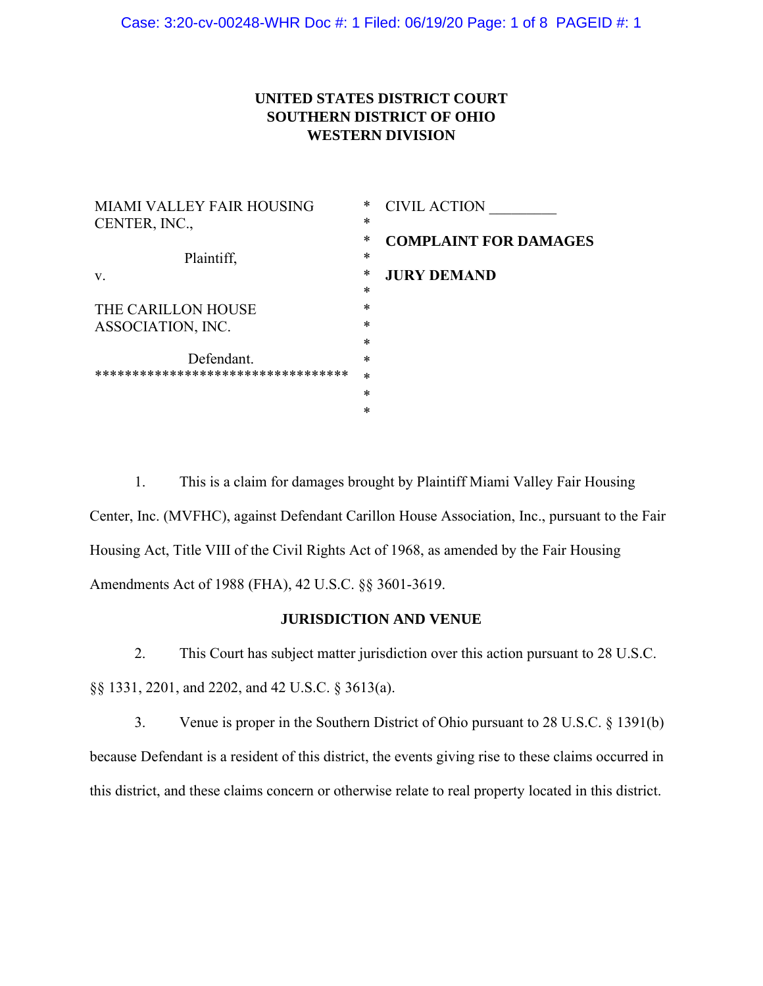# **UNITED STATES DISTRICT COURT SOUTHERN DISTRICT OF OHIO WESTERN DIVISION**

| <b>MIAMI VALLEY FAIR HOUSING</b>    | *      | <b>CIVIL ACTION</b>          |
|-------------------------------------|--------|------------------------------|
| CENTER, INC.,                       | $\ast$ |                              |
|                                     | *      | <b>COMPLAINT FOR DAMAGES</b> |
| Plaintiff,                          | *      |                              |
| V.                                  | *      | <b>JURY DEMAND</b>           |
|                                     | $\ast$ |                              |
| THE CARILLON HOUSE                  | $\ast$ |                              |
| ASSOCIATION, INC.                   | *      |                              |
|                                     | $\ast$ |                              |
| Defendant.                          | $\ast$ |                              |
| *********************************** | $\ast$ |                              |
|                                     | $\ast$ |                              |
|                                     | *      |                              |
|                                     |        |                              |

1. This is a claim for damages brought by Plaintiff Miami Valley Fair Housing Center, Inc. (MVFHC), against Defendant Carillon House Association, Inc., pursuant to the Fair Housing Act, Title VIII of the Civil Rights Act of 1968, as amended by the Fair Housing Amendments Act of 1988 (FHA), 42 U.S.C. §§ 3601-3619.

### **JURISDICTION AND VENUE**

2. This Court has subject matter jurisdiction over this action pursuant to 28 U.S.C. §§ 1331, 2201, and 2202, and 42 U.S.C. § 3613(a).

3. Venue is proper in the Southern District of Ohio pursuant to 28 U.S.C. § 1391(b) because Defendant is a resident of this district, the events giving rise to these claims occurred in this district, and these claims concern or otherwise relate to real property located in this district.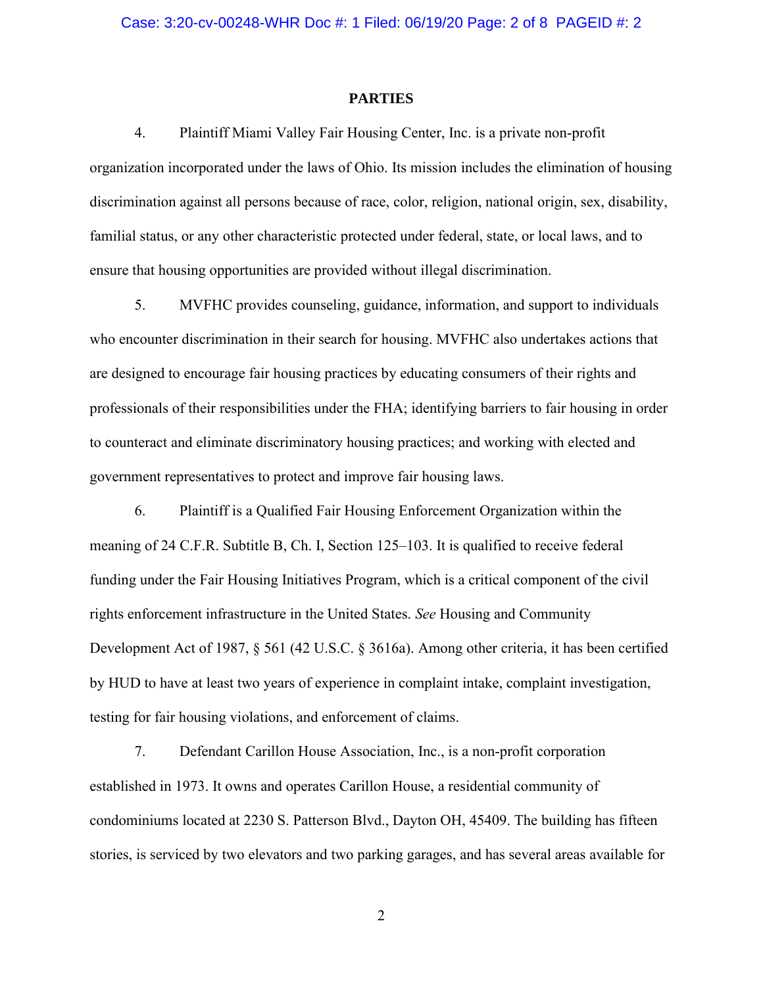#### **PARTIES**

4. Plaintiff Miami Valley Fair Housing Center, Inc. is a private non-profit organization incorporated under the laws of Ohio. Its mission includes the elimination of housing discrimination against all persons because of race, color, religion, national origin, sex, disability, familial status, or any other characteristic protected under federal, state, or local laws, and to ensure that housing opportunities are provided without illegal discrimination.

5. MVFHC provides counseling, guidance, information, and support to individuals who encounter discrimination in their search for housing. MVFHC also undertakes actions that are designed to encourage fair housing practices by educating consumers of their rights and professionals of their responsibilities under the FHA; identifying barriers to fair housing in order to counteract and eliminate discriminatory housing practices; and working with elected and government representatives to protect and improve fair housing laws.

6. Plaintiff is a Qualified Fair Housing Enforcement Organization within the meaning of 24 C.F.R. Subtitle B, Ch. I, Section 125–103. It is qualified to receive federal funding under the Fair Housing Initiatives Program, which is a critical component of the civil rights enforcement infrastructure in the United States. *See* Housing and Community Development Act of 1987, § 561 (42 U.S.C. § 3616a). Among other criteria, it has been certified by HUD to have at least two years of experience in complaint intake, complaint investigation, testing for fair housing violations, and enforcement of claims.

7. Defendant Carillon House Association, Inc., is a non-profit corporation established in 1973. It owns and operates Carillon House, a residential community of condominiums located at 2230 S. Patterson Blvd., Dayton OH, 45409. The building has fifteen stories, is serviced by two elevators and two parking garages, and has several areas available for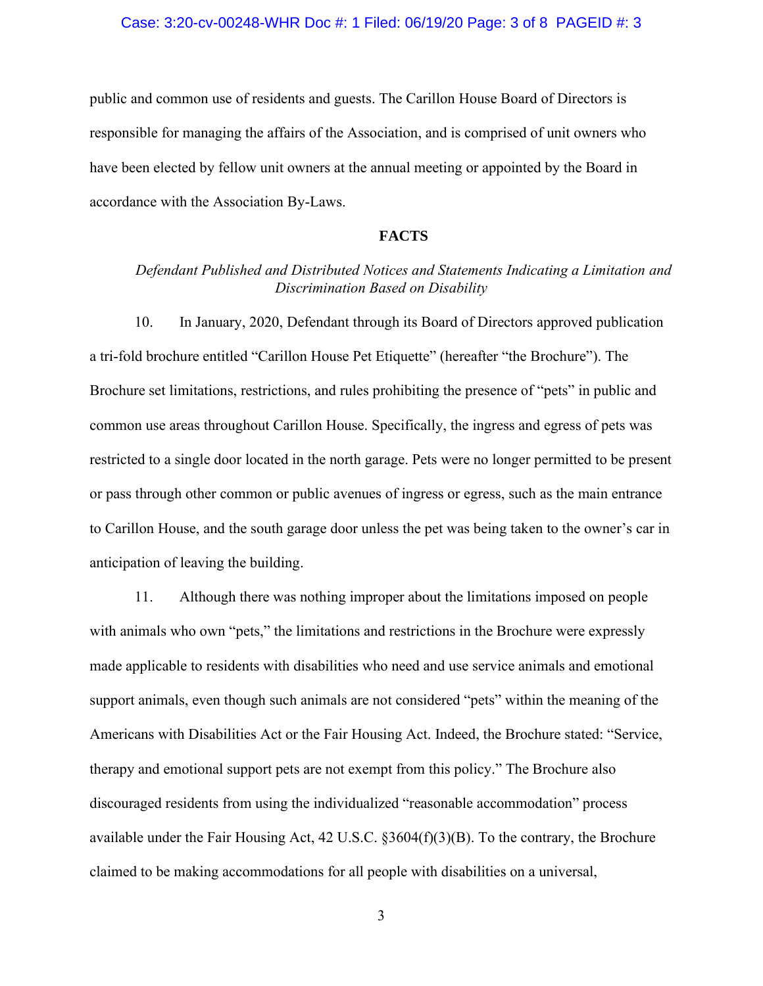### Case: 3:20-cv-00248-WHR Doc #: 1 Filed: 06/19/20 Page: 3 of 8 PAGEID #: 3

public and common use of residents and guests. The Carillon House Board of Directors is responsible for managing the affairs of the Association, and is comprised of unit owners who have been elected by fellow unit owners at the annual meeting or appointed by the Board in accordance with the Association By-Laws.

### **FACTS**

## *Defendant Published and Distributed Notices and Statements Indicating a Limitation and Discrimination Based on Disability*

10. In January, 2020, Defendant through its Board of Directors approved publication a tri-fold brochure entitled "Carillon House Pet Etiquette" (hereafter "the Brochure"). The Brochure set limitations, restrictions, and rules prohibiting the presence of "pets" in public and common use areas throughout Carillon House. Specifically, the ingress and egress of pets was restricted to a single door located in the north garage. Pets were no longer permitted to be present or pass through other common or public avenues of ingress or egress, such as the main entrance to Carillon House, and the south garage door unless the pet was being taken to the owner's car in anticipation of leaving the building.

11. Although there was nothing improper about the limitations imposed on people with animals who own "pets," the limitations and restrictions in the Brochure were expressly made applicable to residents with disabilities who need and use service animals and emotional support animals, even though such animals are not considered "pets" within the meaning of the Americans with Disabilities Act or the Fair Housing Act. Indeed, the Brochure stated: "Service, therapy and emotional support pets are not exempt from this policy." The Brochure also discouraged residents from using the individualized "reasonable accommodation" process available under the Fair Housing Act, 42 U.S.C. §3604(f)(3)(B). To the contrary, the Brochure claimed to be making accommodations for all people with disabilities on a universal,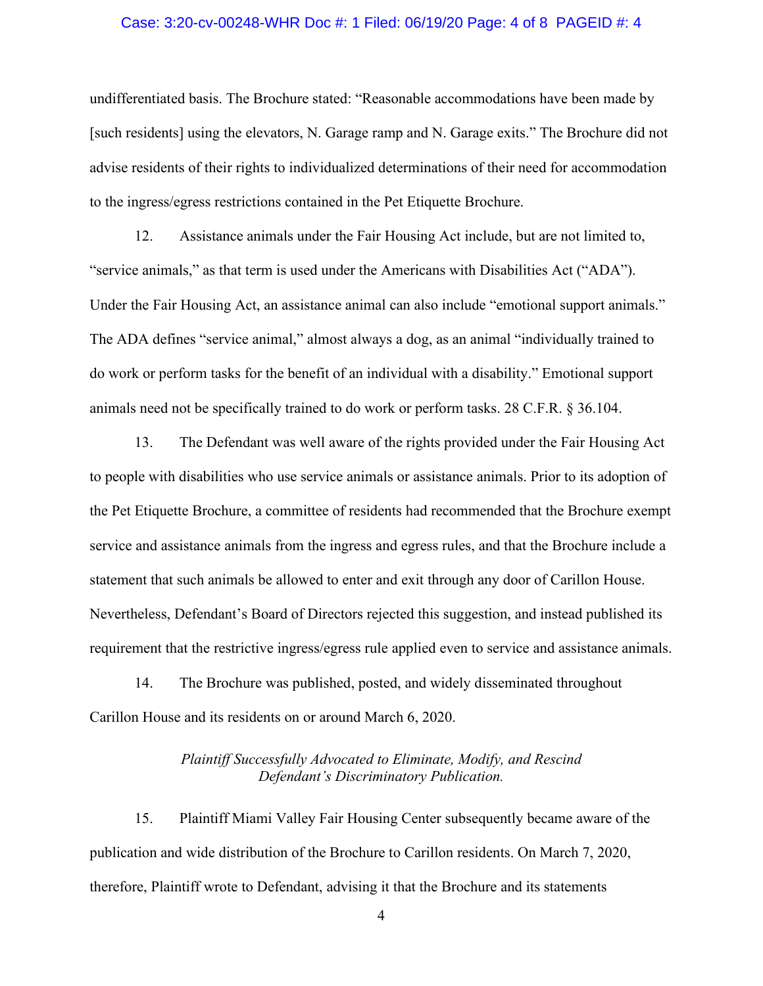### Case: 3:20-cv-00248-WHR Doc #: 1 Filed: 06/19/20 Page: 4 of 8 PAGEID #: 4

undifferentiated basis. The Brochure stated: "Reasonable accommodations have been made by [such residents] using the elevators, N. Garage ramp and N. Garage exits." The Brochure did not advise residents of their rights to individualized determinations of their need for accommodation to the ingress/egress restrictions contained in the Pet Etiquette Brochure.

12. Assistance animals under the Fair Housing Act include, but are not limited to, "service animals," as that term is used under the Americans with Disabilities Act ("ADA"). Under the Fair Housing Act, an assistance animal can also include "emotional support animals." The ADA defines "service animal," almost always a dog, as an animal "individually trained to do work or perform tasks for the benefit of an individual with a disability." Emotional support animals need not be specifically trained to do work or perform tasks. 28 C.F.R. § 36.104.

13. The Defendant was well aware of the rights provided under the Fair Housing Act to people with disabilities who use service animals or assistance animals. Prior to its adoption of the Pet Etiquette Brochure, a committee of residents had recommended that the Brochure exempt service and assistance animals from the ingress and egress rules, and that the Brochure include a statement that such animals be allowed to enter and exit through any door of Carillon House. Nevertheless, Defendant's Board of Directors rejected this suggestion, and instead published its requirement that the restrictive ingress/egress rule applied even to service and assistance animals.

14. The Brochure was published, posted, and widely disseminated throughout Carillon House and its residents on or around March 6, 2020.

> *Plaintiff Successfully Advocated to Eliminate, Modify, and Rescind Defendant's Discriminatory Publication.*

15. Plaintiff Miami Valley Fair Housing Center subsequently became aware of the publication and wide distribution of the Brochure to Carillon residents. On March 7, 2020, therefore, Plaintiff wrote to Defendant, advising it that the Brochure and its statements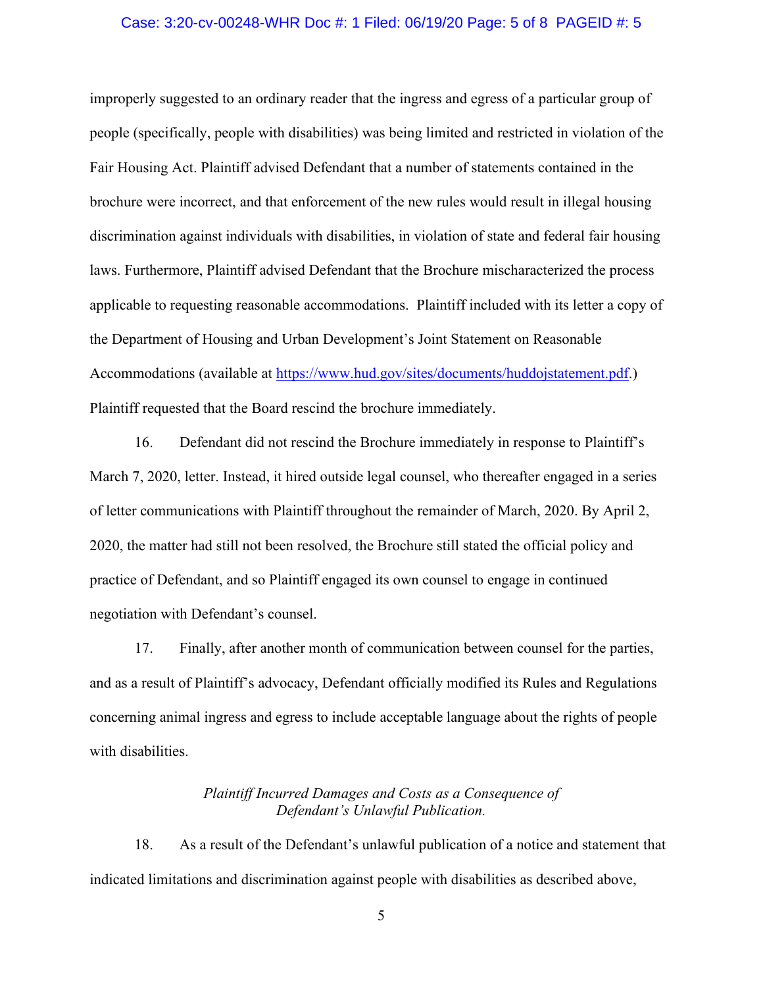### Case: 3:20-cv-00248-WHR Doc #: 1 Filed: 06/19/20 Page: 5 of 8 PAGEID #: 5

improperly suggested to an ordinary reader that the ingress and egress of a particular group of people (specifically, people with disabilities) was being limited and restricted in violation of the Fair Housing Act. Plaintiff advised Defendant that a number of statements contained in the brochure were incorrect, and that enforcement of the new rules would result in illegal housing discrimination against individuals with disabilities, in violation of state and federal fair housing laws. Furthermore, Plaintiff advised Defendant that the Brochure mischaracterized the process applicable to requesting reasonable accommodations. Plaintiff included with its letter a copy of the Department of Housing and Urban Development's Joint Statement on Reasonable Accommodations (available at [https://www.hud.gov/sites/documents/huddojstatement.pdf.](https://www.hud.gov/sites/documents/huddojstatement.pdf)) Plaintiff requested that the Board rescind the brochure immediately.

16. Defendant did not rescind the Brochure immediately in response to Plaintiff's March 7, 2020, letter. Instead, it hired outside legal counsel, who thereafter engaged in a series of letter communications with Plaintiff throughout the remainder of March, 2020. By April 2, 2020, the matter had still not been resolved, the Brochure still stated the official policy and practice of Defendant, and so Plaintiff engaged its own counsel to engage in continued negotiation with Defendant's counsel.

17. Finally, after another month of communication between counsel for the parties, and as a result of Plaintiff's advocacy, Defendant officially modified its Rules and Regulations concerning animal ingress and egress to include acceptable language about the rights of people with disabilities.

## *Plaintiff Incurred Damages and Costs as a Consequence of Defendant's Unlawful Publication.*

18. As a result of the Defendant's unlawful publication of a notice and statement that indicated limitations and discrimination against people with disabilities as described above,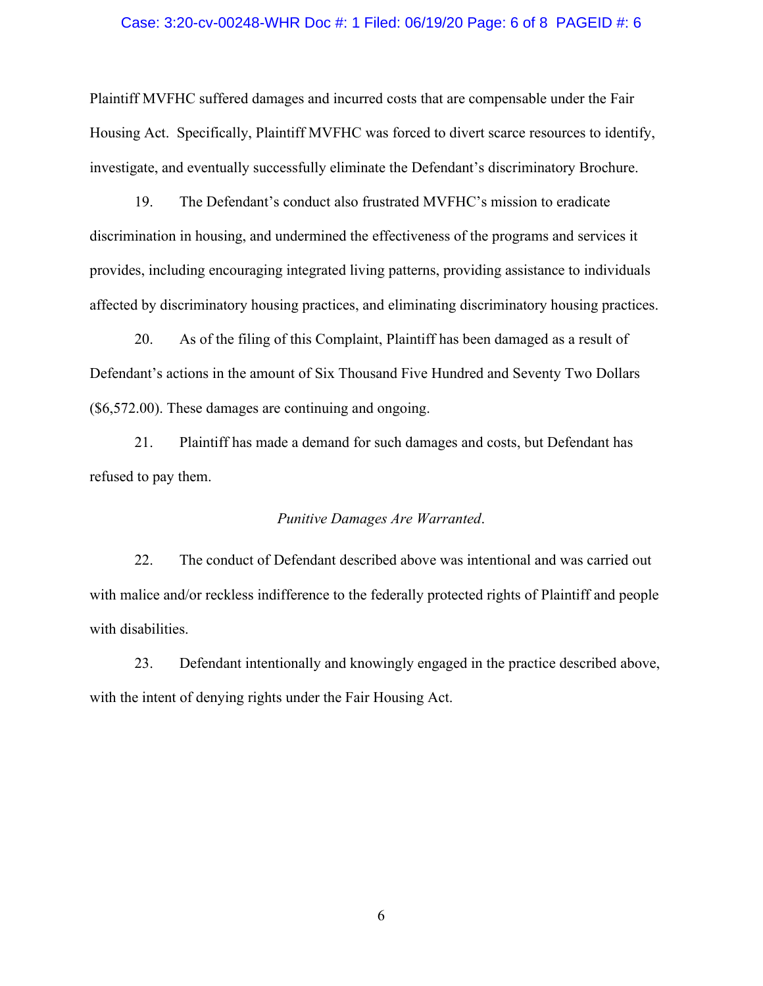#### Case: 3:20-cv-00248-WHR Doc #: 1 Filed: 06/19/20 Page: 6 of 8 PAGEID #: 6

Plaintiff MVFHC suffered damages and incurred costs that are compensable under the Fair Housing Act. Specifically, Plaintiff MVFHC was forced to divert scarce resources to identify, investigate, and eventually successfully eliminate the Defendant's discriminatory Brochure.

19. The Defendant's conduct also frustrated MVFHC's mission to eradicate discrimination in housing, and undermined the effectiveness of the programs and services it provides, including encouraging integrated living patterns, providing assistance to individuals affected by discriminatory housing practices, and eliminating discriminatory housing practices.

20. As of the filing of this Complaint, Plaintiff has been damaged as a result of Defendant's actions in the amount of Six Thousand Five Hundred and Seventy Two Dollars (\$6,572.00). These damages are continuing and ongoing.

21. Plaintiff has made a demand for such damages and costs, but Defendant has refused to pay them.

### *Punitive Damages Are Warranted*.

22. The conduct of Defendant described above was intentional and was carried out with malice and/or reckless indifference to the federally protected rights of Plaintiff and people with disabilities.

23. Defendant intentionally and knowingly engaged in the practice described above, with the intent of denying rights under the Fair Housing Act.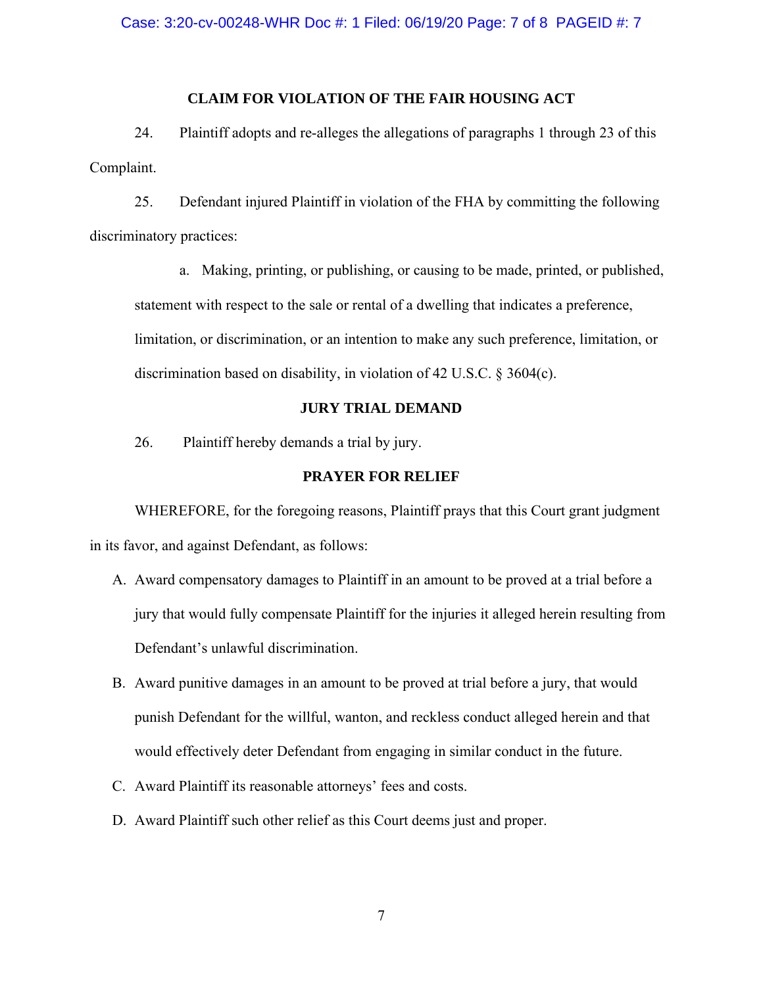### **CLAIM FOR VIOLATION OF THE FAIR HOUSING ACT**

24. Plaintiff adopts and re-alleges the allegations of paragraphs 1 through 23 of this Complaint.

25. Defendant injured Plaintiff in violation of the FHA by committing the following discriminatory practices:

a. Making, printing, or publishing, or causing to be made, printed, or published, statement with respect to the sale or rental of a dwelling that indicates a preference, limitation, or discrimination, or an intention to make any such preference, limitation, or discrimination based on disability, in violation of 42 U.S.C. § 3604(c).

### **JURY TRIAL DEMAND**

26. Plaintiff hereby demands a trial by jury.

### **PRAYER FOR RELIEF**

WHEREFORE, for the foregoing reasons, Plaintiff prays that this Court grant judgment in its favor, and against Defendant, as follows:

- A. Award compensatory damages to Plaintiff in an amount to be proved at a trial before a jury that would fully compensate Plaintiff for the injuries it alleged herein resulting from Defendant's unlawful discrimination.
- B. Award punitive damages in an amount to be proved at trial before a jury, that would punish Defendant for the willful, wanton, and reckless conduct alleged herein and that would effectively deter Defendant from engaging in similar conduct in the future.
- C. Award Plaintiff its reasonable attorneys' fees and costs.
- D. Award Plaintiff such other relief as this Court deems just and proper.